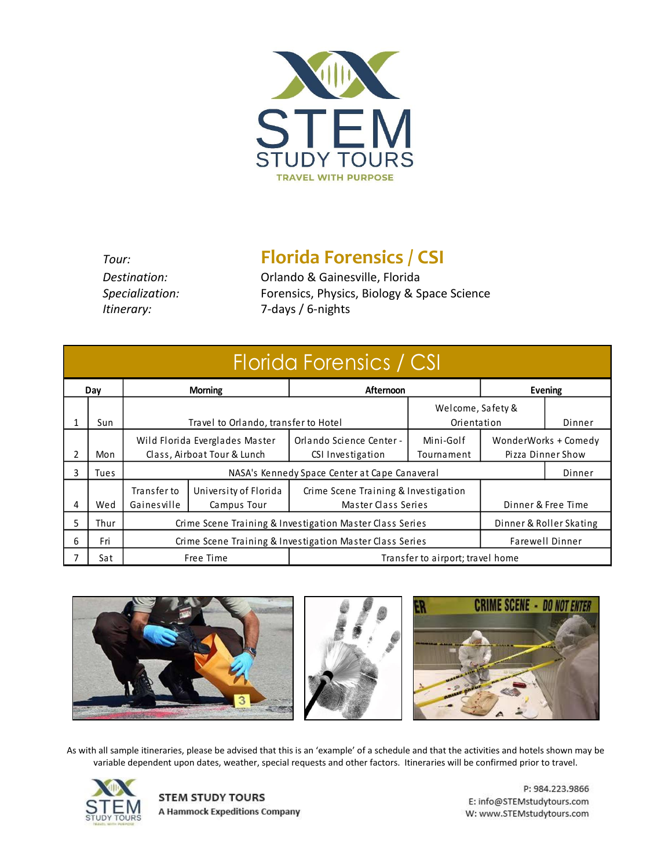

*Itinerary:* 7-days / 6-nights

*Tour:* **Florida Forensics / CSI** *Destination:* Orlando & Gainesville, Florida *Specialization:* Forensics, Physics, Biology & Space Science

| Florida Forensics / CSI |      |                                                                                     |                                                               |                                                             |                                  |         |                                           |  |
|-------------------------|------|-------------------------------------------------------------------------------------|---------------------------------------------------------------|-------------------------------------------------------------|----------------------------------|---------|-------------------------------------------|--|
| Day                     |      | <b>Morning</b>                                                                      |                                                               | Afternoon                                                   |                                  | Evening |                                           |  |
|                         | Sun  |                                                                                     | Travel to Orlando, transfer to Hotel                          |                                                             | Welcome, Safety &<br>Orientation |         | Dinner                                    |  |
| 2                       | Mon  |                                                                                     | Wild Florida Everglades Master<br>Class, Airboat Tour & Lunch | Orlando Science Center -<br>CSI Investigation               | Mini-Golf<br>Tournament          |         | WonderWorks + Comedy<br>Pizza Dinner Show |  |
| 3.                      | Tues | NASA's Kennedy Space Center at Cape Canaveral<br>Dinner                             |                                                               |                                                             |                                  |         |                                           |  |
| 4                       | Wed  | Transfer to<br>Gainesville                                                          | University of Florida<br>Campus Tour                          | Crime Scene Training & Investigation<br>Master Class Series |                                  |         | Dinner & Free Time                        |  |
| 5                       | Thur | Crime Scene Training & Investigation Master Class Series<br>Dinner & Roller Skating |                                                               |                                                             |                                  |         |                                           |  |
| 6                       | Fri  | Farewell Dinner<br>Crime Scene Training & Investigation Master Class Series         |                                                               |                                                             |                                  |         |                                           |  |
|                         | Sat  |                                                                                     | Free Time                                                     | Transfer to airport; travel home                            |                                  |         |                                           |  |



As with all sample itineraries, please be advised that this is an 'example' of a schedule and that the activities and hotels shown may be variable dependent upon dates, weather, special requests and other factors. Itineraries will be confirmed prior to travel.



**STEM STUDY TOURS A Hammock Expeditions Company** 

P: 984.223.9866 E: info@STEMstudytours.com W: www.STEMstudytours.com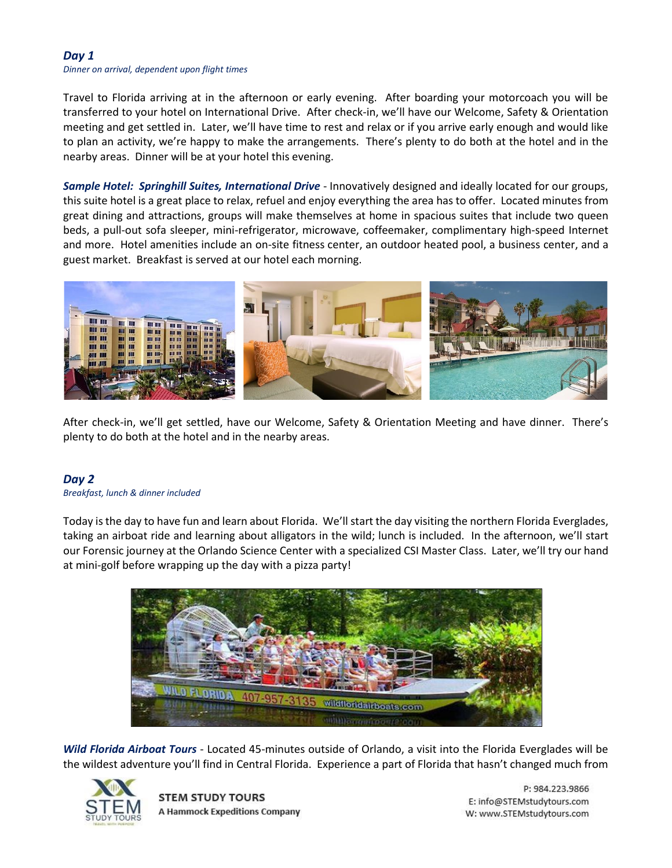### *Day 1*

#### *Dinner on arrival, dependent upon flight times*

Travel to Florida arriving at in the afternoon or early evening. After boarding your motorcoach you will be transferred to your hotel on International Drive. After check-in, we'll have our Welcome, Safety & Orientation meeting and get settled in. Later, we'll have time to rest and relax or if you arrive early enough and would like to plan an activity, we're happy to make the arrangements. There's plenty to do both at the hotel and in the nearby areas. Dinner will be at your hotel this evening.

*Sample Hotel: Springhill Suites, International Drive* - Innovatively designed and ideally located for our groups, this suite hotel is a great place to relax, refuel and enjoy everything the area has to offer. Located minutes from great dining and attractions, groups will make themselves at home in spacious suites that include two queen beds, a pull-out sofa sleeper, mini-refrigerator, microwave, coffeemaker, complimentary high-speed Internet and more. Hotel amenities include an on-site fitness center, an outdoor heated pool, a business center, and a guest market. Breakfast is served at our hotel each morning.



After check-in, we'll get settled, have our Welcome, Safety & Orientation Meeting and have dinner. There's plenty to do both at the hotel and in the nearby areas.

# *Day 2*

#### *Breakfast, lunch & dinner included*

Today is the day to have fun and learn about Florida. We'll start the day visiting the northern Florida Everglades, taking an airboat ride and learning about alligators in the wild; lunch is included. In the afternoon, we'll start our Forensic journey at the Orlando Science Center with a specialized CSI Master Class. Later, we'll try our hand at mini-golf before wrapping up the day with a pizza party!



*Wild Florida Airboat Tours* - Located 45-minutes outside of Orlando, a visit into the Florida Everglades will be the wildest adventure you'll find in Central Florida. Experience a part of Florida that hasn't changed much from



**STEM STUDY TOURS A Hammock Expeditions Company** 

P: 984.223.9866 E: info@STEMstudytours.com W: www.STEMstudytours.com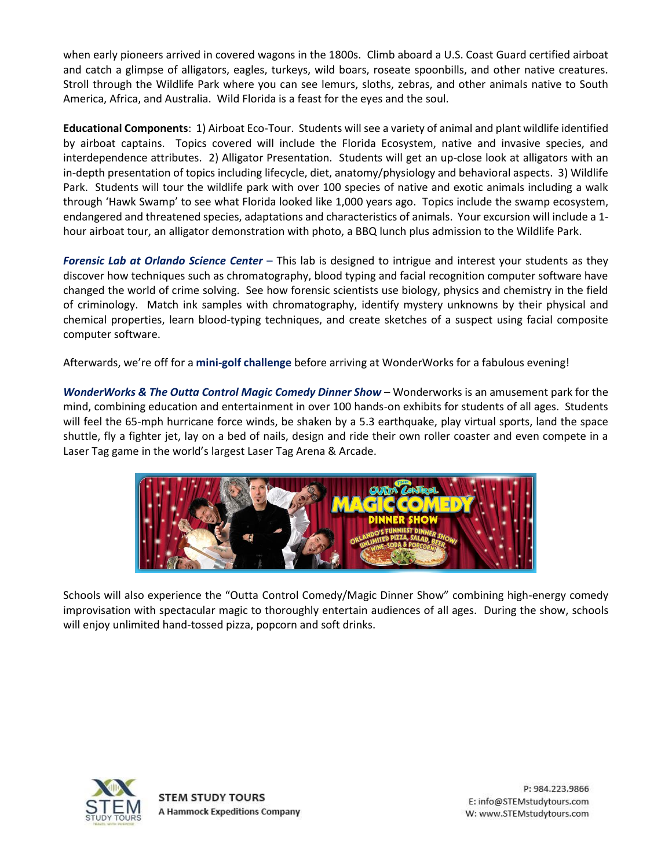when early pioneers arrived in covered wagons in the 1800s. Climb aboard a U.S. Coast Guard certified airboat and catch a glimpse of alligators, eagles, turkeys, wild boars, roseate spoonbills, and other native creatures. Stroll through the Wildlife Park where you can see lemurs, sloths, zebras, and other animals native to South America, Africa, and Australia. Wild Florida is a feast for the eyes and the soul.

**Educational Components**: 1) Airboat Eco-Tour. Students will see a variety of animal and plant wildlife identified by airboat captains. Topics covered will include the Florida Ecosystem, native and invasive species, and interdependence attributes. 2) Alligator Presentation. Students will get an up-close look at alligators with an in-depth presentation of topics including lifecycle, diet, anatomy/physiology and behavioral aspects. 3) Wildlife Park. Students will tour the wildlife park with over 100 species of native and exotic animals including a walk through 'Hawk Swamp' to see what Florida looked like 1,000 years ago. Topics include the swamp ecosystem, endangered and threatened species, adaptations and characteristics of animals. Your excursion will include a 1 hour airboat tour, an alligator demonstration with photo, a BBQ lunch plus admission to the Wildlife Park.

*Forensic Lab at Orlando Science Center* – This lab is designed to intrigue and interest your students as they discover how techniques such as chromatography, blood typing and facial recognition computer software have changed the world of crime solving. See how forensic scientists use biology, physics and chemistry in the field of criminology. Match ink samples with chromatography, identify mystery unknowns by their physical and chemical properties, learn blood-typing techniques, and create sketches of a suspect using facial composite computer software.

Afterwards, we're off for a **mini-golf challenge** before arriving at WonderWorks for a fabulous evening!

*WonderWorks & The Outta Control Magic Comedy Dinner Show* – Wonderworks is an amusement park for the mind, combining education and entertainment in over 100 hands-on exhibits for students of all ages. Students will feel the 65-mph hurricane force winds, be shaken by a 5.3 earthquake, play virtual sports, land the space shuttle, fly a fighter jet, lay on a bed of nails, design and ride their own roller coaster and even compete in a Laser Tag game in the world's largest Laser Tag Arena & Arcade.



Schools will also experience the "Outta Control Comedy/Magic Dinner Show" combining high-energy comedy improvisation with spectacular magic to thoroughly entertain audiences of all ages. During the show, schools will enjoy unlimited hand-tossed pizza, popcorn and soft drinks.

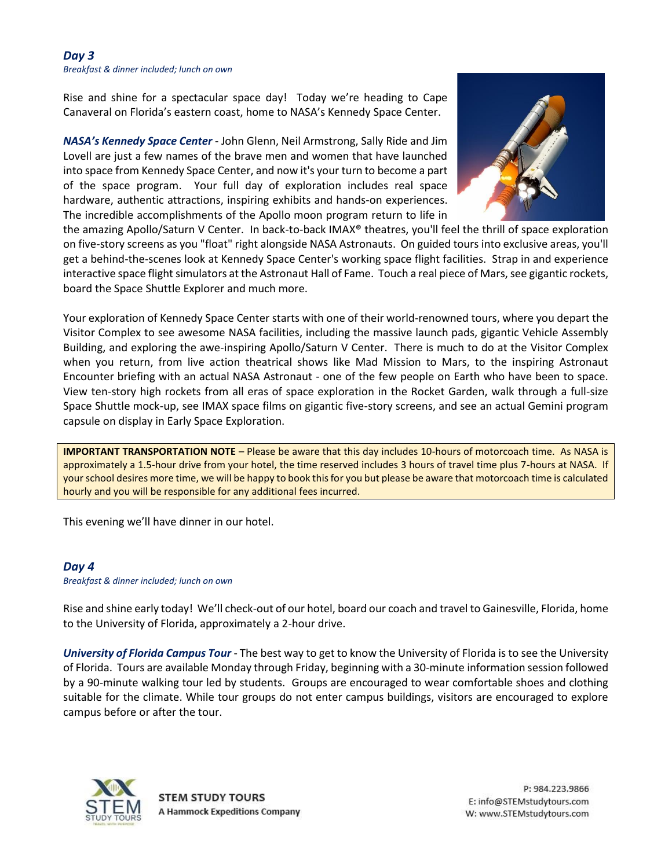#### *Day 3 Breakfast & dinner included; lunch on own*

Rise and shine for a spectacular space day! Today we're heading to Cape Canaveral on Florida's eastern coast, home to NASA's Kennedy Space Center.

*NASA's Kennedy Space Center* - John Glenn, Neil Armstrong, Sally Ride and Jim Lovell are just a few names of the brave men and women that have launched into space from Kennedy Space Center, and now it's your turn to become a part of the space program. Your full day of exploration includes real space hardware, authentic attractions, inspiring exhibits and hands-on experiences. The incredible accomplishments of the Apollo moon program return to life in



the amazing Apollo/Saturn V Center. In back-to-back IMAX® theatres, you'll feel the thrill of space exploration on five-story screens as you "float" right alongside NASA Astronauts. On guided tours into exclusive areas, you'll get a behind-the-scenes look at Kennedy Space Center's working space flight facilities. Strap in and experience interactive space flight simulators at the Astronaut Hall of Fame. Touch a real piece of Mars, see gigantic rockets, board the Space Shuttle Explorer and much more.

Your exploration of Kennedy Space Center starts with one of their world-renowned tours, where you depart the Visitor Complex to see awesome NASA facilities, including the massive launch pads, gigantic Vehicle Assembly Building, and exploring the awe-inspiring Apollo/Saturn V Center. There is much to do at the Visitor Complex when you return, from live action theatrical shows like Mad Mission to Mars, to the inspiring Astronaut Encounter briefing with an actual NASA Astronaut - one of the few people on Earth who have been to space. View ten-story high rockets from all eras of space exploration in the Rocket Garden, walk through a full-size Space Shuttle mock-up, see IMAX space films on gigantic five-story screens, and see an actual Gemini program capsule on display in Early Space Exploration.

**IMPORTANT TRANSPORTATION NOTE** – Please be aware that this day includes 10-hours of motorcoach time. As NASA is approximately a 1.5-hour drive from your hotel, the time reserved includes 3 hours of travel time plus 7-hours at NASA. If your school desires more time, we will be happy to book this for you but please be aware that motorcoach time is calculated hourly and you will be responsible for any additional fees incurred.

This evening we'll have dinner in our hotel.

## *Day 4*

*Breakfast & dinner included; lunch on own*

Rise and shine early today! We'll check-out of our hotel, board our coach and travel to Gainesville, Florida, home to the University of Florida, approximately a 2-hour drive.

*University of Florida Campus Tour* - The best way to get to know the University of Florida is to see the University of Florida. Tours are available Monday through Friday, beginning with a 30-minute information session followed by a 90-minute walking tour led by students. Groups are encouraged to wear comfortable shoes and clothing suitable for the climate. While tour groups do not enter campus buildings, visitors are encouraged to explore campus before or after the tour.

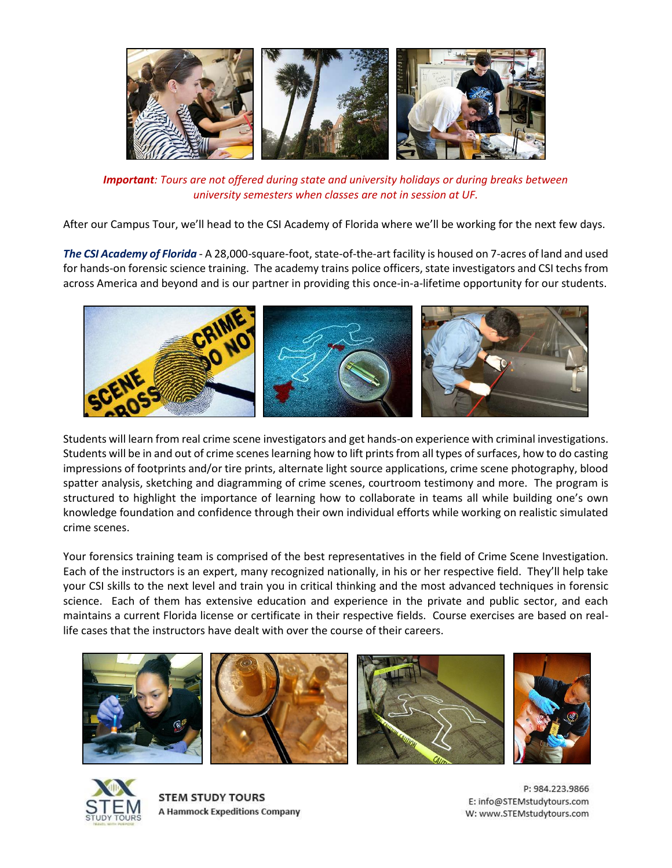

*Important: Tours are not offered during state and university holidays or during breaks between university semesters when classes are not in session at UF.*

After our Campus Tour, we'll head to the CSI Academy of Florida where we'll be working for the next few days.

*The CSI Academy of Florida* - A 28,000-square-foot, state-of-the-art facility is housed on 7-acres of land and used for hands-on forensic science training. The academy trains police officers, state investigators and CSI techs from across America and beyond and is our partner in providing this once-in-a-lifetime opportunity for our students.



Students will learn from real crime scene investigators and get hands-on experience with criminal investigations. Students will be in and out of crime scenes learning how to lift prints from all types of surfaces, how to do casting impressions of footprints and/or tire prints, alternate light source applications, crime scene photography, blood spatter analysis, sketching and diagramming of crime scenes, courtroom testimony and more. The program is structured to highlight the importance of learning how to collaborate in teams all while building one's own knowledge foundation and confidence through their own individual efforts while working on realistic simulated crime scenes.

Your forensics training team is comprised of the best representatives in the field of Crime Scene Investigation. Each of the instructors is an expert, many recognized nationally, in his or her respective field. They'll help take your CSI skills to the next level and train you in critical thinking and the most advanced techniques in forensic science. Each of them has extensive education and experience in the private and public sector, and each maintains a current Florida license or certificate in their respective fields. Course exercises are based on reallife cases that the instructors have dealt with over the course of their careers.





**STEM STUDY TOURS A Hammock Expeditions Company** 

P: 984.223.9866 E: info@STEMstudytours.com W: www.STEMstudytours.com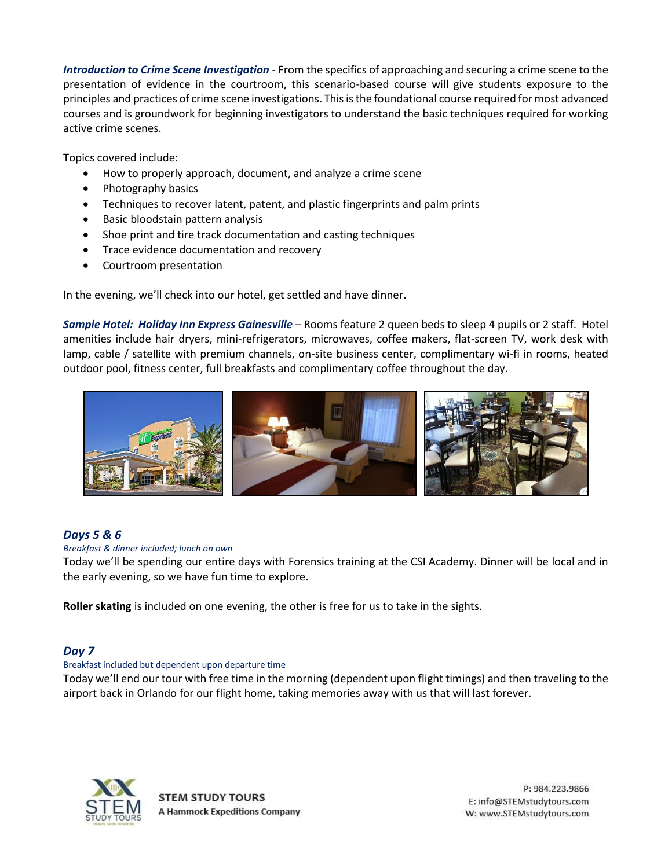*Introduction to Crime Scene Investigation* - From the specifics of approaching and securing a crime scene to the presentation of evidence in the courtroom, this scenario-based course will give students exposure to the principles and practices of crime scene investigations. This is the foundational course required for most advanced courses and is groundwork for beginning investigators to understand the basic techniques required for working active crime scenes.

Topics covered include:

- How to properly approach, document, and analyze a crime scene
- Photography basics
- Techniques to recover latent, patent, and plastic fingerprints and palm prints
- Basic bloodstain pattern analysis
- Shoe print and tire track documentation and casting techniques
- Trace evidence documentation and recovery
- Courtroom presentation

In the evening, we'll check into our hotel, get settled and have dinner.

*Sample Hotel: Holiday Inn Express Gainesville* – Rooms feature 2 queen beds to sleep 4 pupils or 2 staff. Hotel amenities include hair dryers, mini-refrigerators, microwaves, coffee makers, flat-screen TV, work desk with lamp, cable / satellite with premium channels, on-site business center, complimentary wi-fi in rooms, heated outdoor pool, fitness center, full breakfasts and complimentary coffee throughout the day.



## *Days 5 & 6*

#### *Breakfast & dinner included; lunch on own*

Today we'll be spending our entire days with Forensics training at the CSI Academy. Dinner will be local and in the early evening, so we have fun time to explore.

**Roller skating** is included on one evening, the other is free for us to take in the sights.

## *Day 7*

#### Breakfast included but dependent upon departure time

Today we'll end our tour with free time in the morning (dependent upon flight timings) and then traveling to the airport back in Orlando for our flight home, taking memories away with us that will last forever.